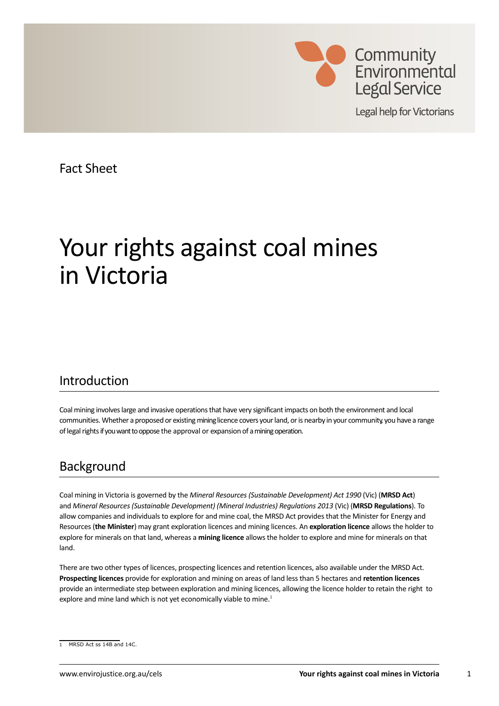

**Legal help for Victorians** 

Fact Sheet

# Your rights against coal mines in Victoria

## Introduction

Coal mining involves large and invasive operations that have very significant impacts on both the environment and local communities. Whether a proposed or existing mining licence covers your land, or is nearby in your community, you have a range of legal rights if you want to oppose the approval or expansion of a mining operation.

## Background

Coal mining in Victoria is governed by the *Mineral Resources (Sustainable Development) Act 1990* (Vic) (**MRSD Act**) and *Mineral Resources (Sustainable Development) (Mineral Industries) Regulations 2013* (Vic) (**MRSD Regulations**). To allow companies and individuals to explore for and mine coal, the MRSD Act provides that the Minister for Energy and Resources (**the Minister**) may grant exploration licences and mining licences. An **exploration licence** allows the holder to explore for minerals on that land, whereas a **mining licence** allows the holder to explore and mine for minerals on that land.

There are two other types of licences, prospecting licences and retention licences, also available under the MRSD Act. **Prospecting licences** provide for exploration and mining on areas of land less than 5 hectares and **retention licences** provide an intermediate step between exploration and mining licences, allowing the licence holder to retain the right to explore and mine land which is not yet economically viable to mine.<sup>1</sup>

<sup>1</sup> MRSD Act ss 14B and 14C.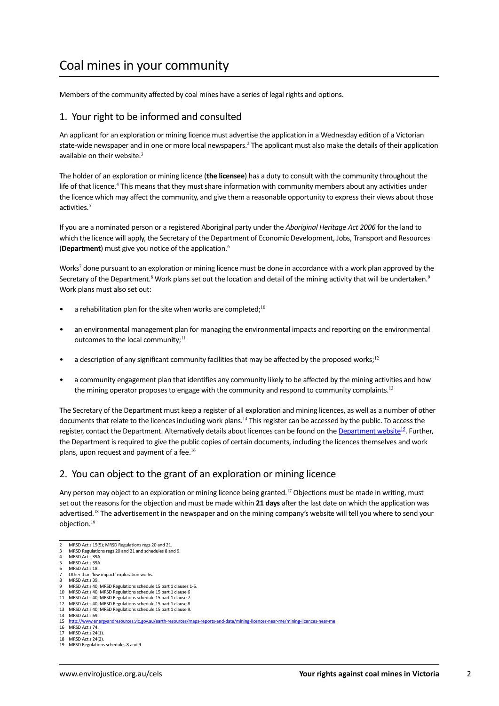# Coal mines in your community

Members of the community affected by coal mines have a series of legal rights and options.

#### 1. Your right to be informed and consulted

An applicant for an exploration or mining licence must advertise the application in a Wednesday edition of a Victorian state-wide newspaper and in one or more local newspapers.<sup>2</sup> The applicant must also make the details of their application available on their website. $3$ 

The holder of an exploration or mining licence (**the licensee**) has a duty to consult with the community throughout the life of that licence.<sup>4</sup> This means that they must share information with community members about any activities under the licence which may affect the community, and give them a reasonable opportunity to express their views about those activities.<sup>5</sup>

If you are a nominated person or a registered Aboriginal party under the *Aboriginal Heritage Act 2006* for the land to which the licence will apply, the Secretary of the Department of Economic Development, Jobs, Transport and Resources (**Department**) must give you notice of the application.<sup>6</sup>

Works<sup>7</sup> done pursuant to an exploration or mining licence must be done in accordance with a work plan approved by the Secretary of the Department.<sup>8</sup> Work plans set out the location and detail of the mining activity that will be undertaken.<sup>9</sup> Work plans must also set out:

- a rehabilitation plan for the site when works are completed; $10$
- an environmental management plan for managing the environmental impacts and reporting on the environmental outcomes to the local community;<sup>11</sup>
- a description of any significant community facilities that may be affected by the proposed works;<sup>12</sup>
- a community engagement plan that identifies any community likely to be affected by the mining activities and how the mining operator proposes to engage with the community and respond to community complaints.<sup>13</sup>

The Secretary of the Department must keep a register of all exploration and mining licences, as well as a number of other documents that relate to the licences including work plans.<sup>14</sup> This register can be accessed by the public. To access the register, contact the Department. Alternatively details about licences can be found on the [Department website](http://www.energyandresources.vic.gov.au/earth-resources/maps-reports-and-data/mining-licences-near-me/mining-licences-near-me)<sup>15</sup>. Further, the Department is required to give the public copies of certain documents, including the licences themselves and work plans, upon request and payment of a fee.<sup>16</sup>

## 2. You can object to the grant of an exploration or mining licence

Any person may object to an exploration or mining licence being granted.<sup>17</sup> Objections must be made in writing, must set out the reasons for the objection and must be made within **21 days** after the last date on which the application was advertised.<sup>18</sup> The advertisement in the newspaper and on the mining company's website will tell you where to send your objection.<sup>19</sup>

<sup>2</sup> MRSD Act s 15(5); MRSD Regulations regs 20 and 21.

<sup>3</sup> MRSD Regulations regs 20 and 21 and schedules 8 and 9 MRSD Act s 39A

MRSD Act s 39A.

MRSD Act s 18

Other than 'low impact' exploration works. MRSD Act c 39

MRSD Act s 40; MRSD Regulations schedule 15 part 1 clauses 1-5.

<sup>10</sup> MRSD Act s 40; MRSD Regulations schedule 15 part 1 clause 6

<sup>11</sup> MRSD Act s 40; MRSD Regulations schedule 15 part 1 clause 7.

<sup>12</sup> MRSD Act s 40; MRSD Regulations schedule 15 part 1 clause 8. 13 MRSD Act s 40; MRSD Regulations schedule 15 part 1 clause 9.

<sup>14</sup> MRSD Act s 69.

<sup>15</sup> <http://www.energyandresources.vic.gov.au/earth-resources/maps-reports-and-data/mining-licences-near-me/mining-licences-near-me>

<sup>16</sup> MRSD Act s 74.

<sup>17</sup> MRSD Act s 24(1).

<sup>18</sup> MRSD Act s 24(2). 19 MRSD Regulations schedules 8 and 9.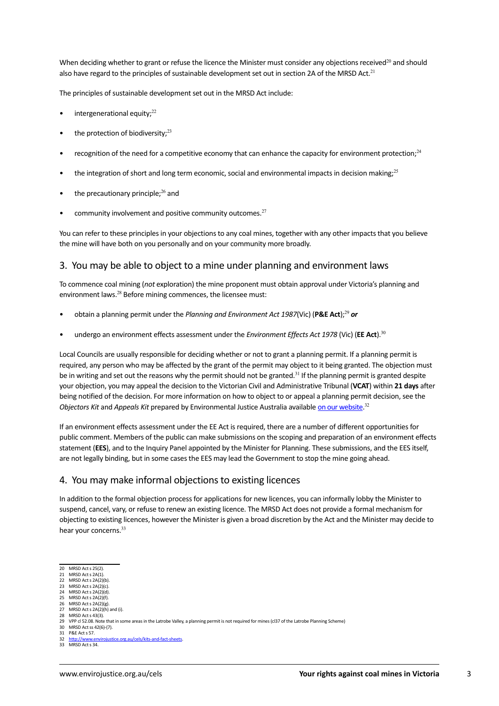When deciding whether to grant or refuse the licence the Minister must consider any objections received $^{20}$  and should also have regard to the principles of sustainable development set out in section 2A of the MRSD Act.<sup>21</sup>

The principles of sustainable development set out in the MRSD Act include:

- intergenerational equity; $^{22}$
- the protection of biodiversity; $^{23}$
- recognition of the need for a competitive economy that can enhance the capacity for environment protection; $^{24}$
- the integration of short and long term economic, social and environmental impacts in decision making;<sup>25</sup>
- the precautionary principle; $^{26}$  and
- community involvement and positive community outcomes. $27$

You can refer to these principles in your objections to any coal mines, together with any other impacts that you believe the mine will have both on you personally and on your community more broadly.

#### 3. You may be able to object to a mine under planning and environment laws

To commence coal mining (*not* exploration) the mine proponent must obtain approval under Victoria's planning and environment laws.<sup>28</sup> Before mining commences, the licensee must:

- • obtain a planning permit under the *Planning and Environment Act 1987*(Vic) (**P&E Act**);<sup>29</sup> *or*
- • undergo an environment effects assessment under the *Environment Effects Act 1978* (Vic) (**EE Act**).<sup>30</sup>

Local Councils are usually responsible for deciding whether or not to grant a planning permit. If a planning permit is required, any person who may be affected by the grant of the permit may object to it being granted. The objection must be in writing and set out the reasons why the permit should not be granted.<sup>31</sup> If the planning permit is granted despite your objection, you may appeal the decision to the Victorian Civil and Administrative Tribunal (**VCAT**) within **21 days** after being notified of the decision. For more information on how to object to or appeal a planning permit decision, see the *Objectors Kit* and *Appeals Kit* prepared by Environmental Justice Australia available [on our website.](https://envirojustice.org.au/cels/kits-and-fact-sheets) 32

If an environment effects assessment under the EE Act is required, there are a number of different opportunities for public comment. Members of the public can make submissions on the scoping and preparation of an environment effects statement (**EES**), and to the Inquiry Panel appointed by the Minister for Planning. These submissions, and the EES itself, are not legally binding, but in some cases the EES may lead the Government to stop the mine going ahead.

#### 4. You may make informal objections to existing licences

In addition to the formal objection process for applications for new licences, you can informally lobby the Minister to suspend, cancel, vary, or refuse to renew an existing licence. The MRSD Act does not provide a formal mechanism for objecting to existing licences, however the Minister is given a broad discretion by the Act and the Minister may decide to hear your concerns.<sup>33</sup>

- 22 MRSD Act s 2A(2)(b).<br>23 MRSD Act s 2A(2)(c).  $MRSD Acts 2A(2)(c)$ .
- 24 MRSD Act s 2A(2)(d).
- 25 MRSD Act s  $2A(2)(f)$ .<br>26 MRSD Act s  $2A(2)(g)$ .  $MRSD \text{ Act } s$   $2A(2)/g$
- 28 MHSD Act  $3$  2A(2)(h) and (i).

<sup>20</sup> MRSD Act s 25(2)<br>21 MRSD Act s 2A(1)  $MRSD Acts 2A(1)$ .

<sup>28</sup> MRSD Act s 43(3).

<sup>29</sup> VPP cl 52.08. Note that in some areas in the Latrobe Valley, a planning permit is not required for mines (cl37 of the Latrobe Planning Scheme) 30 MRSD Act ss 42(6)-(7).

<sup>31</sup> P&E Act s 57.<br>32 http://www.e 32 <http://www.envirojustice.org.au/cels/kits-and-fact-sheets>.

<sup>33</sup> MRSD Act s 34.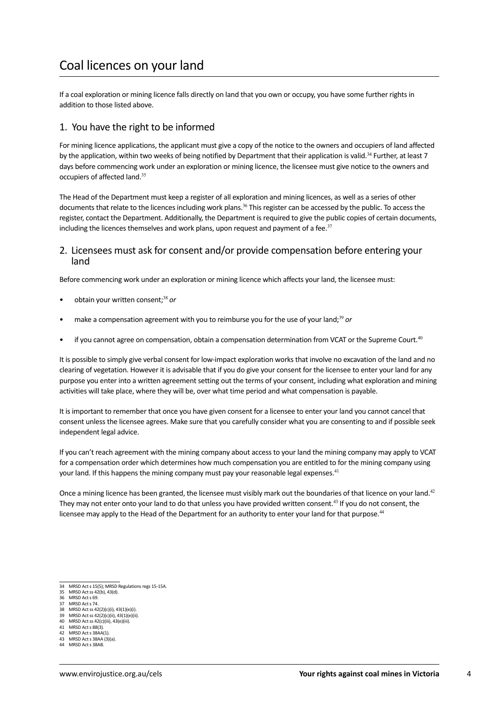If a coal exploration or mining licence falls directly on land that you own or occupy, you have some further rights in addition to those listed above.

### 1. You have the right to be informed

For mining licence applications, the applicant must give a copy of the notice to the owners and occupiers of land affected by the application, within two weeks of being notified by Department that their application is valid.<sup>34</sup> Further, at least 7 days before commencing work under an exploration or mining licence, the licensee must give notice to the owners and occupiers of affected land.<sup>35</sup>

The Head of the Department must keep a register of all exploration and mining licences, as well as a series of other documents that relate to the licences including work plans.<sup>36</sup> This register can be accessed by the public. To access the register, contact the Department. Additionally, the Department is required to give the public copies of certain documents, including the licences themselves and work plans, upon request and payment of a fee. $37$ 

#### 2. Licensees must ask for consent and/or provide compensation before entering your land

Before commencing work under an exploration or mining licence which affects your land, the licensee must:

- obtain your written consent;<sup>38</sup> or
- make a compensation agreement with you to reimburse you for the use of your land;<sup>39</sup> or
- if you cannot agree on compensation, obtain a compensation determination from VCAT or the Supreme Court.<sup>40</sup>

It is possible to simply give verbal consent for low-impact exploration works that involve no excavation of the land and no clearing of vegetation. However it is advisable that if you do give your consent for the licensee to enter your land for any purpose you enter into a written agreement setting out the terms of your consent, including what exploration and mining activities will take place, where they will be, over what time period and what compensation is payable.

It is important to remember that once you have given consent for a licensee to enter your land you cannot cancel that consent unless the licensee agrees. Make sure that you carefully consider what you are consenting to and if possible seek independent legal advice.

If you can't reach agreement with the mining company about access to your land the mining company may apply to VCAT for a compensation order which determines how much compensation you are entitled to for the mining company using your land. If this happens the mining company must pay your reasonable legal expenses.<sup>41</sup>

Once a mining licence has been granted, the licensee must visibly mark out the boundaries of that licence on your land.<sup>42</sup> They may not enter onto your land to do that unless you have provided written consent.<sup>43</sup> If you do not consent, the licensee may apply to the Head of the Department for an authority to enter your land for that purpose.<sup>44</sup>

- 38 MRSD Act ss 42(2)(c)(i), 43(1)(e)(i).<br>39 MRSD Act ss 42(2)(c)(ii), 43(1)(e)(ii).
- 39 MRSD Act ss 42(2)(c)(ii), 43(1)(e)(ii). 40 MRSD Act ss 42(c)(iii), 43(e)(iii).
- 
- 41 MRSD Act s 88(3)<br>42 MRSD Act s 38AA MRSD Act s 38AA(1).
- 43 MRSD Act s 38AA (3)(a).

<sup>34</sup> MRSD Act s 15(5); MRSD Regulations regs 15-15A.

<sup>35</sup> MRSD Act ss 42(b), 43(d).

<sup>36</sup> MRSD Act s 69.<br>37 MRSD Act s 74 MRSD Act s 74

MRSD Act s 38AB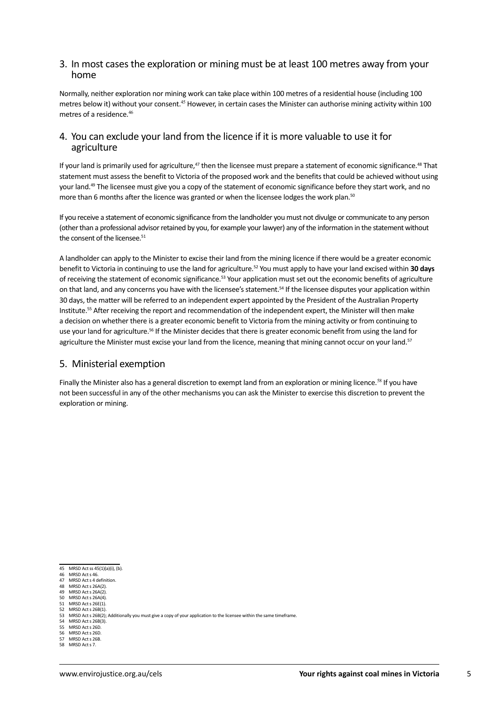#### 3. In most cases the exploration or mining must be at least 100 metres away from your home

Normally, neither exploration nor mining work can take place within 100 metres of a residential house (including 100 metres below it) without your consent.<sup>45</sup> However, in certain cases the Minister can authorise mining activity within 100 metres of a residence.<sup>46</sup>

### 4. You can exclude your land from the licence if it is more valuable to use it for agriculture

If your land is primarily used for agriculture, $47$  then the licensee must prepare a statement of economic significance. $48$  That statement must assess the benefit to Victoria of the proposed work and the benefits that could be achieved without using your land.<sup>49</sup> The licensee must give you a copy of the statement of economic significance before they start work, and no more than 6 months after the licence was granted or when the licensee lodges the work plan.<sup>50</sup>

If you receive a statement of economic significance from the landholder you must not divulge or communicate to any person (other than a professional advisor retained by you, for example your lawyer) any of the information in the statement without the consent of the licensee.<sup>51</sup>

A landholder can apply to the Minister to excise their land from the mining licence if there would be a greater economic benefit to Victoria in continuing to use the land for agriculture.52 You must apply to have your land excised within **30 days** of receiving the statement of economic significance.53 Your application must set out the economic benefits of agriculture on that land, and any concerns you have with the licensee's statement.<sup>54</sup> If the licensee disputes your application within 30 days, the matter will be referred to an independent expert appointed by the President of the Australian Property Institute.55 After receiving the report and recommendation of the independent expert, the Minister will then make a decision on whether there is a greater economic benefit to Victoria from the mining activity or from continuing to use your land for agriculture.<sup>56</sup> If the Minister decides that there is greater economic benefit from using the land for agriculture the Minister must excise your land from the licence, meaning that mining cannot occur on your land.<sup>57</sup>

#### 5. Ministerial exemption

Finally the Minister also has a general discretion to exempt land from an exploration or mining licence.<sup>58</sup> If you have not been successful in any of the other mechanisms you can ask the Minister to exercise this discretion to prevent the exploration or mining.

- MRSD Act s 46. 47 MRSD Act s 4 definition.
- MRSD Act s 26A(2).
- 49 MRSD Act s 26A(2).<br>50 MRSD Act s 26A(4).
- 50 MRSD Act s 26A(4).<br>51 MRSD Act s 26F(1)
- 51 MRSD Act s 26E(1)<br>52 MRSD Act s 26B(1)  $MRSD Acts 26B(1)$ .
- 53 MRSD Act s 26B(2); Additionally you must give a copy of your application to the licensee within the same timeframe<br>54 MRSD Act s 26B(3).
- $MRSD Acts 26B(3)$
- 55 MRSD Act s 26D. 56 MRSD Act s 26D.
- 57 MRSD Act s 26B.

<sup>45</sup> MRSD Act ss 45(1)(a)(i), (b).

<sup>58</sup> MRSD Act s 7.